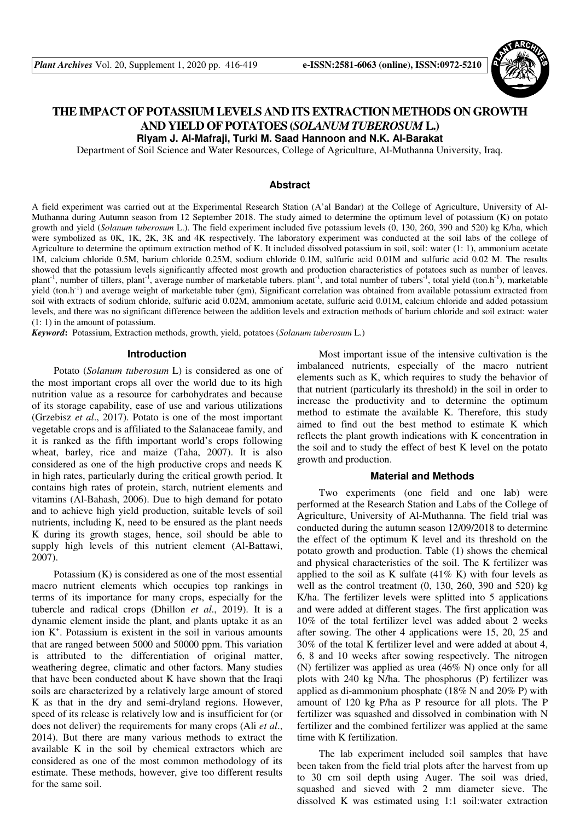

# **THE IMPACT OF POTASSIUM LEVELS AND ITS EXTRACTION METHODS ON GROWTH AND YIELD OF POTATOES (***SOLANUM TUBEROSUM* **L.)**

**Riyam J. Al-Mafraji, Turki M. Saad Hannoon and N.K. Al-Barakat** 

Department of Soil Science and Water Resources, College of Agriculture, Al-Muthanna University, Iraq.

### **Abstract**

A field experiment was carried out at the Experimental Research Station (A'al Bandar) at the College of Agriculture, University of Al-Muthanna during Autumn season from 12 September 2018. The study aimed to determine the optimum level of potassium (K) on potato growth and yield (*Solanum tuberosum* L.). The field experiment included five potassium levels (0, 130, 260, 390 and 520) kg K/ha, which were symbolized as 0K, 1K, 2K, 3K and 4K respectively. The laboratory experiment was conducted at the soil labs of the college of Agriculture to determine the optimum extraction method of K. It included dissolved potassium in soil, soil: water (1: 1), ammonium acetate 1M, calcium chloride 0.5M, barium chloride 0.25M, sodium chloride 0.1M, sulfuric acid 0.01M and sulfuric acid 0.02 M. The results showed that the potassium levels significantly affected most growth and production characteristics of potatoes such as number of leaves. plant<sup>-1</sup>, number of tillers, plant<sup>-1</sup>, average number of marketable tubers. plant<sup>-1</sup>, and total number of tubers<sup>-1</sup>, total yield (ton.h<sup>-1</sup>), marketable yield (ton.h<sup>-1</sup>) and average weight of marketable tuber (gm), Significant correlation was obtained from available potassium extracted from soil with extracts of sodium chloride, sulfuric acid 0.02M, ammonium acetate, sulfuric acid 0.01M, calcium chloride and added potassium levels, and there was no significant difference between the addition levels and extraction methods of barium chloride and soil extract: water (1: 1) in the amount of potassium.

*Keyword***:** Potassium, Extraction methods, growth, yield, potatoes (*Solanum tuberosum* L.)

#### **Introduction**

Potato (*Solanum tuberosum* L) is considered as one of the most important crops all over the world due to its high nutrition value as a resource for carbohydrates and because of its storage capability, ease of use and various utilizations (Grzebisz *et al*., 2017). Potato is one of the most important vegetable crops and is affiliated to the Salanaceae family, and it is ranked as the fifth important world's crops following wheat, barley, rice and maize (Taha, 2007). It is also considered as one of the high productive crops and needs K in high rates, particularly during the critical growth period. It contains high rates of protein, starch, nutrient elements and vitamins (Al-Bahash, 2006). Due to high demand for potato and to achieve high yield production, suitable levels of soil nutrients, including K, need to be ensured as the plant needs K during its growth stages, hence, soil should be able to supply high levels of this nutrient element (Al-Battawi, 2007).

Potassium (K) is considered as one of the most essential macro nutrient elements which occupies top rankings in terms of its importance for many crops, especially for the tubercle and radical crops (Dhillon *et al*., 2019). It is a dynamic element inside the plant, and plants uptake it as an ion K<sup>+</sup> . Potassium is existent in the soil in various amounts that are ranged between 5000 and 50000 ppm. This variation is attributed to the differentiation of original matter, weathering degree, climatic and other factors. Many studies that have been conducted about K have shown that the Iraqi soils are characterized by a relatively large amount of stored K as that in the dry and semi-dryland regions. However, speed of its release is relatively low and is insufficient for (or does not deliver) the requirements for many crops (Ali *et al*., 2014). But there are many various methods to extract the available K in the soil by chemical extractors which are considered as one of the most common methodology of its estimate. These methods, however, give too different results for the same soil.

Most important issue of the intensive cultivation is the imbalanced nutrients, especially of the macro nutrient elements such as K, which requires to study the behavior of that nutrient (particularly its threshold) in the soil in order to increase the productivity and to determine the optimum method to estimate the available K. Therefore, this study aimed to find out the best method to estimate K which reflects the plant growth indications with K concentration in the soil and to study the effect of best K level on the potato growth and production.

### **Material and Methods**

Two experiments (one field and one lab) were performed at the Research Station and Labs of the College of Agriculture, University of Al-Muthanna. The field trial was conducted during the autumn season 12/09/2018 to determine the effect of the optimum K level and its threshold on the potato growth and production. Table (1) shows the chemical and physical characteristics of the soil. The K fertilizer was applied to the soil as K sulfate  $(41\% \text{ K})$  with four levels as well as the control treatment (0, 130, 260, 390 and 520) kg K/ha. The fertilizer levels were splitted into 5 applications and were added at different stages. The first application was 10% of the total fertilizer level was added about 2 weeks after sowing. The other 4 applications were 15, 20, 25 and 30% of the total K fertilizer level and were added at about 4, 6, 8 and 10 weeks after sowing respectively. The nitrogen (N) fertilizer was applied as urea (46% N) once only for all plots with 240 kg N/ha. The phosphorus (P) fertilizer was applied as di-ammonium phosphate (18% N and 20% P) with amount of 120 kg P/ha as P resource for all plots. The P fertilizer was squashed and dissolved in combination with N fertilizer and the combined fertilizer was applied at the same time with K fertilization.

The lab experiment included soil samples that have been taken from the field trial plots after the harvest from up to 30 cm soil depth using Auger. The soil was dried, squashed and sieved with 2 mm diameter sieve. The dissolved K was estimated using 1:1 soil:water extraction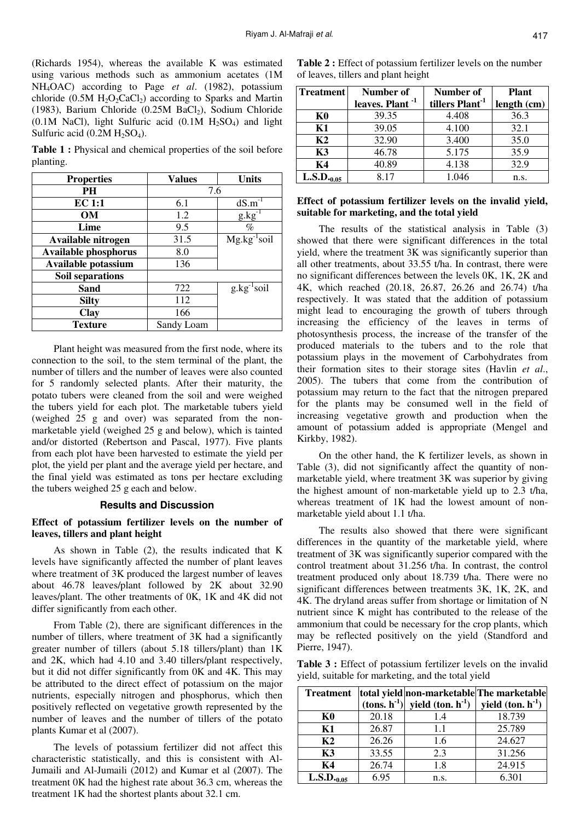(Richards 1954), whereas the available K was estimated using various methods such as ammonium acetates (1M NH4OAC) according to Page *et al*. (1982), potassium chloride  $(0.5M H<sub>2</sub>O<sub>2</sub>CaCl<sub>2</sub>)$  according to Sparks and Martin (1983), Barium Chloride (0.25M BaCl<sub>2</sub>), Sodium Chloride (0.1M NaCl), light Sulfuric acid  $(0.1M H<sub>2</sub>SO<sub>4</sub>)$  and light Sulfuric acid  $(0.2M H<sub>2</sub>SO<sub>4</sub>)$ .

**Table 1 :** Physical and chemical properties of the soil before planting.

| <b>Properties</b>           | <b>Values</b> | <b>Units</b>     |  |
|-----------------------------|---------------|------------------|--|
| PН                          | 7.6           |                  |  |
| EC 1:1                      | 6.1           | $dS.m^{-1}$      |  |
| <b>OM</b>                   | 1.2           | $g.kg^-$         |  |
| Lime                        | 9.5           | $\%$             |  |
| Available nitrogen          | 31.5          | $Mg.kg^{-1}soil$ |  |
| <b>Available phosphorus</b> | 8.0           |                  |  |
| Available potassium         | 136           |                  |  |
| <b>Soil separations</b>     |               |                  |  |
| Sand                        | 722           | $g.kg^{-1}soil$  |  |
| <b>Silty</b>                | 112           |                  |  |
| <b>Clay</b>                 | 166           |                  |  |
| <b>Texture</b>              | Sandy Loam    |                  |  |

Plant height was measured from the first node, where its connection to the soil, to the stem terminal of the plant, the number of tillers and the number of leaves were also counted for 5 randomly selected plants. After their maturity, the potato tubers were cleaned from the soil and were weighed the tubers yield for each plot. The marketable tubers yield (weighed 25 g and over) was separated from the nonmarketable yield (weighed 25 g and below), which is tainted and/or distorted (Rebertson and Pascal, 1977). Five plants from each plot have been harvested to estimate the yield per plot, the yield per plant and the average yield per hectare, and the final yield was estimated as tons per hectare excluding the tubers weighed 25 g each and below.

## **Results and Discussion**

## **Effect of potassium fertilizer levels on the number of leaves, tillers and plant height**

As shown in Table (2), the results indicated that K levels have significantly affected the number of plant leaves where treatment of 3K produced the largest number of leaves about 46.78 leaves/plant followed by 2K about 32.90 leaves/plant. The other treatments of 0K, 1K and 4K did not differ significantly from each other.

From Table (2), there are significant differences in the number of tillers, where treatment of 3K had a significantly greater number of tillers (about 5.18 tillers/plant) than 1K and 2K, which had 4.10 and 3.40 tillers/plant respectively, but it did not differ significantly from 0K and 4K. This may be attributed to the direct effect of potassium on the major nutrients, especially nitrogen and phosphorus, which then positively reflected on vegetative growth represented by the number of leaves and the number of tillers of the potato plants Kumar et al (2007).

The levels of potassium fertilizer did not affect this characteristic statistically, and this is consistent with Al-Jumaili and Al-Jumaili (2012) and Kumar et al (2007). The treatment 0K had the highest rate about 36.3 cm, whereas the treatment 1K had the shortest plants about 32.1 cm.

| <b>Treatment</b> | Number of                   | Number of                   | <b>Plant</b> |  |
|------------------|-----------------------------|-----------------------------|--------------|--|
|                  | leaves. Plant <sup>-1</sup> | tillers Plant <sup>-1</sup> | length (cm)  |  |
| K0               | 39.35                       | 4.408                       | 36.3         |  |
| K1               | 39.05                       | 4.100                       | 32.1         |  |
| K2               | 32.90                       | 3.400                       | 35.0         |  |
| <b>K3</b>        | 46.78                       | 5.175                       | 35.9         |  |
| К4               | 40.89                       | 4.138                       | 32.9         |  |
| $L.S.D._{0.05}$  | 8.17                        | 1.046                       | n.s.         |  |

# **Effect of potassium fertilizer levels on the invalid yield, suitable for marketing, and the total yield**

The results of the statistical analysis in Table (3) showed that there were significant differences in the total yield, where the treatment 3K was significantly superior than all other treatments, about 33.55 t/ha. In contrast, there were no significant differences between the levels 0K, 1K, 2K and 4K, which reached (20.18, 26.87, 26.26 and 26.74) t/ha respectively. It was stated that the addition of potassium might lead to encouraging the growth of tubers through increasing the efficiency of the leaves in terms of photosynthesis process, the increase of the transfer of the produced materials to the tubers and to the role that potassium plays in the movement of Carbohydrates from their formation sites to their storage sites (Havlin *et al*., 2005). The tubers that come from the contribution of potassium may return to the fact that the nitrogen prepared for the plants may be consumed well in the field of increasing vegetative growth and production when the amount of potassium added is appropriate (Mengel and Kirkby, 1982).

On the other hand, the K fertilizer levels, as shown in Table (3), did not significantly affect the quantity of nonmarketable yield, where treatment 3K was superior by giving the highest amount of non-marketable yield up to 2.3 t/ha, whereas treatment of 1K had the lowest amount of nonmarketable yield about 1.1 t/ha.

The results also showed that there were significant differences in the quantity of the marketable yield, where treatment of 3K was significantly superior compared with the control treatment about 31.256 t/ha. In contrast, the control treatment produced only about 18.739 t/ha. There were no significant differences between treatments 3K, 1K, 2K, and 4K. The dryland areas suffer from shortage or limitation of N nutrient since K might has contributed to the release of the ammonium that could be necessary for the crop plants, which may be reflected positively on the yield (Standford and Pierre, 1947).

**Table 3 :** Effect of potassium fertilizer levels on the invalid yield, suitable for marketing, and the total yield

| <b>Treatment</b> |       |                                                                 | total yield non-marketable The marketable |
|------------------|-------|-----------------------------------------------------------------|-------------------------------------------|
|                  |       | (tons. $h^{-1}$ ) yield (ton. $h^{-1}$ ) yield (ton. $h^{-1}$ ) |                                           |
| K0               | 20.18 | 1.4                                                             | 18.739                                    |
| K1               | 26.87 | 1.1                                                             | 25.789                                    |
| K <sub>2</sub>   | 26.26 | 1.6                                                             | 24.627                                    |
| K3               | 33.55 | 2.3                                                             | 31.256                                    |
| K4               | 26.74 | 1.8                                                             | 24.915                                    |
| $L.S.D._{0.05}$  | 6.95  | n.s.                                                            | 6.301                                     |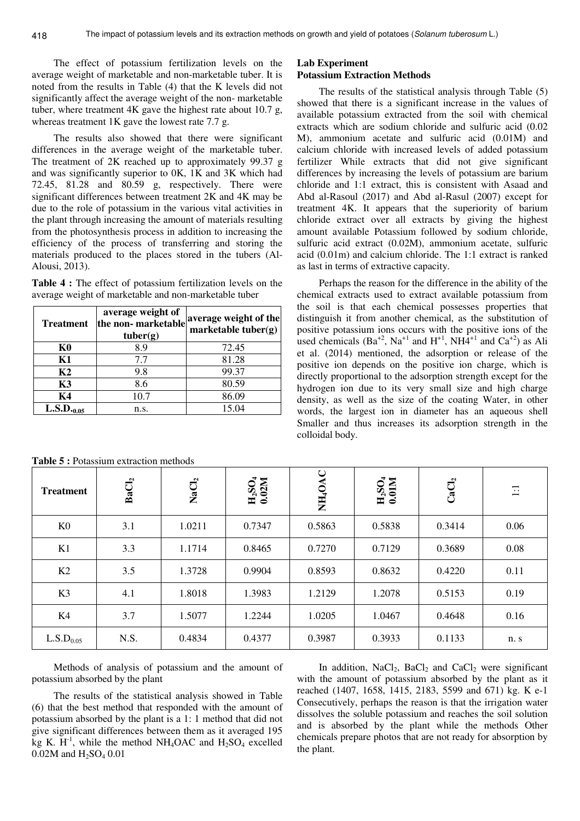The effect of potassium fertilization levels on the average weight of marketable and non-marketable tuber. It is noted from the results in Table (4) that the K levels did not significantly affect the average weight of the non- marketable tuber, where treatment 4K gave the highest rate about 10.7 g, whereas treatment 1K gave the lowest rate 7.7 g.

The results also showed that there were significant differences in the average weight of the marketable tuber. The treatment of 2K reached up to approximately 99.37 g and was significantly superior to 0K, 1K and 3K which had 72.45, 81.28 and 80.59 g, respectively. There were significant differences between treatment 2K and 4K may be due to the role of potassium in the various vital activities in the plant through increasing the amount of materials resulting from the photosynthesis process in addition to increasing the efficiency of the process of transferring and storing the materials produced to the places stored in the tubers (Al-Alousi, 2013).

**Table 4 :** The effect of potassium fertilization levels on the average weight of marketable and non-marketable tuber

| <b>Treatment</b> | average weight of<br>the non-marketable<br>tube (g) | average weight of the<br>marketable tuber $(g)$ |
|------------------|-----------------------------------------------------|-------------------------------------------------|
| K0               | 8.9                                                 | 72.45                                           |
| <b>K1</b>        | 7.7                                                 | 81.28                                           |
| K <sub>2</sub>   | 9.8                                                 | 99.37                                           |
| K3               | 8.6                                                 | 80.59                                           |
| K4               | 10.7                                                | 86.09                                           |
| $L.S.D._{0.05}$  | n.s.                                                | 15.04                                           |

**Table 5 :** Potassium extraction methods

# **Lab Experiment**

# **Potassium Extraction Methods**

The results of the statistical analysis through Table (5) showed that there is a significant increase in the values of available potassium extracted from the soil with chemical extracts which are sodium chloride and sulfuric acid (0.02 M), ammonium acetate and sulfuric acid (0.01M) and calcium chloride with increased levels of added potassium fertilizer While extracts that did not give significant differences by increasing the levels of potassium are barium chloride and 1:1 extract, this is consistent with Asaad and Abd al-Rasoul (2017) and Abd al-Rasul (2007) except for treatment 4K. It appears that the superiority of barium chloride extract over all extracts by giving the highest amount available Potassium followed by sodium chloride, sulfuric acid extract (0.02M), ammonium acetate, sulfuric acid (0.01m) and calcium chloride. The 1:1 extract is ranked as last in terms of extractive capacity.

Perhaps the reason for the difference in the ability of the chemical extracts used to extract available potassium from the soil is that each chemical possesses properties that distinguish it from another chemical, as the substitution of positive potassium ions occurs with the positive ions of the used chemicals  $(Ba^{+2}$ , Na<sup>+1</sup> and H<sup>+1</sup>, NH4<sup>+1</sup> and Ca<sup>+2</sup>) as Ali et al. (2014) mentioned, the adsorption or release of the positive ion depends on the positive ion charge, which is directly proportional to the adsorption strength except for the hydrogen ion due to its very small size and high charge density, as well as the size of the coating Water, in other words, the largest ion in diameter has an aqueous shell Smaller and thus increases its adsorption strength in the colloidal body.

| <b>Treatment</b>      | BaCl <sub>2</sub> | $\rm NaCl_2$ | $_{0.02M}^{\text{H}_2\text{SO}_4}$ | NH <sub>4</sub> OAC | $_{0.01M}^{\text{H}_2\text{SO}_4}$ | CaCl <sub>2</sub> | $\Xi$ |
|-----------------------|-------------------|--------------|------------------------------------|---------------------|------------------------------------|-------------------|-------|
| K <sub>0</sub>        | 3.1               | 1.0211       | 0.7347                             | 0.5863              | 0.5838                             | 0.3414            | 0.06  |
| K1                    | 3.3               | 1.1714       | 0.8465                             | 0.7270              | 0.7129                             | 0.3689            | 0.08  |
| K2                    | 3.5               | 1.3728       | 0.9904                             | 0.8593              | 0.8632                             | 0.4220            | 0.11  |
| K <sub>3</sub>        | 4.1               | 1.8018       | 1.3983                             | 1.2129              | 1.2078                             | 0.5153            | 0.19  |
| K4                    | 3.7               | 1.5077       | 1.2244                             | 1.0205              | 1.0467                             | 0.4648            | 0.16  |
| L.S.D <sub>0.05</sub> | N.S.              | 0.4834       | 0.4377                             | 0.3987              | 0.3933                             | 0.1133            | n. s  |

Methods of analysis of potassium and the amount of potassium absorbed by the plant

The results of the statistical analysis showed in Table (6) that the best method that responded with the amount of potassium absorbed by the plant is a 1: 1 method that did not give significant differences between them as it averaged 195 kg K.  $H^{-1}$ , while the method NH<sub>4</sub>OAC and H<sub>2</sub>SO<sub>4</sub> excelled 0.02M and  $H_2SO_4$  0.01

In addition,  $NaCl<sub>2</sub>$ ,  $BaCl<sub>2</sub>$  and  $CaCl<sub>2</sub>$  were significant with the amount of potassium absorbed by the plant as it reached (1407, 1658, 1415, 2183, 5599 and 671) kg. K e-1 Consecutively, perhaps the reason is that the irrigation water dissolves the soluble potassium and reaches the soil solution and is absorbed by the plant while the methods Other chemicals prepare photos that are not ready for absorption by the plant.